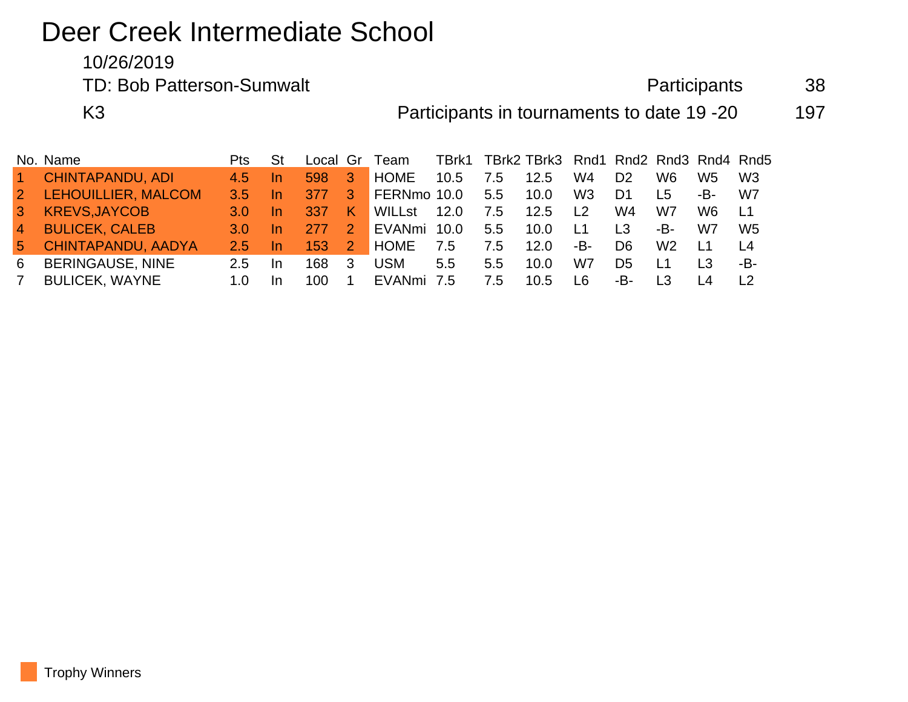# Deer Creek Intermediate School

10/26/2019

TD: Bob Patterson-Sumwalt and a state of the Participants and 38

K3 **Participants in tournaments to date 19 -20** 197

|                 | No. Name                | Pts.          |           |      |               | Local Gr Team |      |               | TBrk1 TBrk2 TBrk3 Rnd1 Rnd2 Rnd3 Rnd4 Rnd5 |                |                |                |     |                 |
|-----------------|-------------------------|---------------|-----------|------|---------------|---------------|------|---------------|--------------------------------------------|----------------|----------------|----------------|-----|-----------------|
| $\sim$          | <b>CHINTAPANDU, ADI</b> | 4.5           | -In       | 598  | -3            | <b>HOME</b>   | 10.5 | 7.5           | 12.5                                       | W4             | D <sub>2</sub> | W6             | W5. | W <sub>3</sub>  |
| $\vert 2 \vert$ | LEHOUILLIER, MALCOM     | $3.5^{\circ}$ | In.       | 377  | 3             | FERNmo 10.0   |      | 5.5           | 10.0                                       | W <sub>3</sub> | D <sub>1</sub> | L5             | -B- | W7              |
| $\mathbf{3}$    | <b>KREVS, JAYCOB</b>    | 3.0           | -In       | -337 | K             | WILLst        | 12.0 | 7.5           | 12.5                                       | L2             | W4             | W7             | W6. | ⊥1              |
| $\overline{4}$  | <b>BULICEK, CALEB</b>   | 3.0           | <u>In</u> | 277  | $\mathcal{P}$ | EVANmi        | 10.0 | $5.5^{\circ}$ | 10.0                                       | L1             | L3             | -B-            | W7  | W5              |
| 5               | CHINTAPANDU, AADYA      | 2.5           | In.       | 153  | 2             | HOME          | 7.5  | 7.5           | 12.0                                       | -В-            | D <sub>6</sub> | W2             | L1  | $\overline{14}$ |
| 6               | <b>BERINGAUSE, NINE</b> | 2.5           | In.       | 168  | 3             | <b>USM</b>    | 5.5  | $5.5^{\circ}$ | 10.0                                       | W7             | D5             | L1             | L3  | -B-             |
| <sup>7</sup>    | <b>BULICEK, WAYNE</b>   | 1.0           | In.       | 100  |               | EVANmi        | 7.5  | 7.5           | 10.5                                       | l 6            | -B-            | L <sub>3</sub> |     |                 |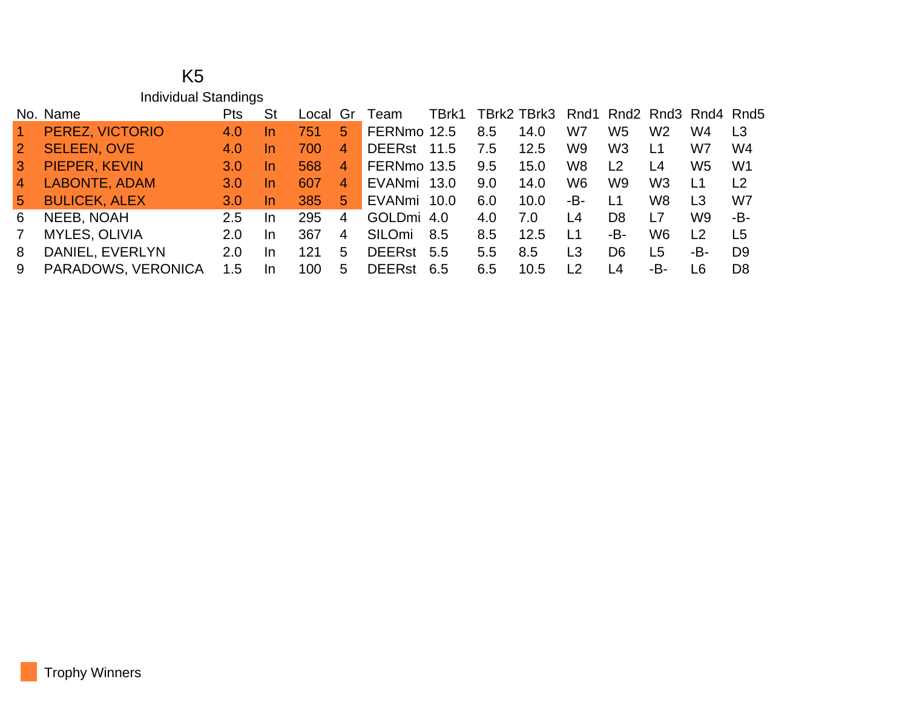|                 | K5                          |            |           |       |                |               |       |     |             |                |                |                |                          |                |
|-----------------|-----------------------------|------------|-----------|-------|----------------|---------------|-------|-----|-------------|----------------|----------------|----------------|--------------------------|----------------|
|                 | <b>Individual Standings</b> |            |           |       |                |               |       |     |             |                |                |                |                          |                |
|                 | No. Name                    | <b>Pts</b> | <b>St</b> | Local | Gr             | <b>leam</b>   | TBrk1 |     | TBrk2 TBrk3 |                |                |                | Rnd1 Rnd2 Rnd3 Rnd4 Rnd5 |                |
|                 | PEREZ, VICTORIO             | 4.0        | <u>In</u> | 751   | 5.             | FERNmo 12.5   |       | 8.5 | 14.0        | W7             | W5             | W <sub>2</sub> | W4                       | L <sub>3</sub> |
| $\overline{2}$  | <b>SELEEN, OVE</b>          | 4.0        | <u>In</u> | 700   | 4              | <b>DEERst</b> | 11.5  | 7.5 | 12.5        | W9             | W3             | L1             | W7                       | W4             |
| 3               | PIEPER, KEVIN               | 3.0        | <u>In</u> | 568   | $\overline{4}$ | FERNmo 13.5   |       | 9.5 | 15.0        | W <sub>8</sub> | L <sub>2</sub> | L4             | W <sub>5</sub>           | W <sub>1</sub> |
| $\overline{4}$  | LABONTE, ADAM               | 3.0        | <u>In</u> | 607   | 4              | EVANmi 13.0   |       | 9.0 | 14.0        | W6             | W9             | W <sub>3</sub> | L1                       | L2             |
| $5\phantom{.0}$ | <b>BULICEK, ALEX</b>        | 3.0        | <u>In</u> | 385   | 5.             | EVANmi 10.0   |       | 6.0 | 10.0        | -В-            | L1             | W8             | L <sub>3</sub>           | W7             |
| 6               | NEEB, NOAH                  | 2.5        | In.       | 295   | 4              | GOLDmi 4.0    |       | 4.0 | 7.0         | L4             | D <sub>8</sub> | L7             | W9                       | -B-            |
| 7               | <b>MYLES, OLIVIA</b>        | 2.0        | In.       | 367   | 4              | <b>SILOmi</b> | 8.5   | 8.5 | 12.5        | <u> 1</u>      | -B-            | W <sub>6</sub> | L <sub>2</sub>           | L <sub>5</sub> |
| 8               | DANIEL, EVERLYN             | 2.0        | In        | 121   | 5.             | <b>DEERst</b> | 5.5   | 5.5 | 8.5         | L <sub>3</sub> | D <sub>6</sub> | L5             | -В-                      | D <sub>9</sub> |
| 9               | PARADOWS, VERONICA          | 1.5        | In        | 100   | 5              | <b>DEERst</b> | 6.5   | 6.5 | 10.5        | L2             | 4ء             | -В-            | L6                       | D <sub>8</sub> |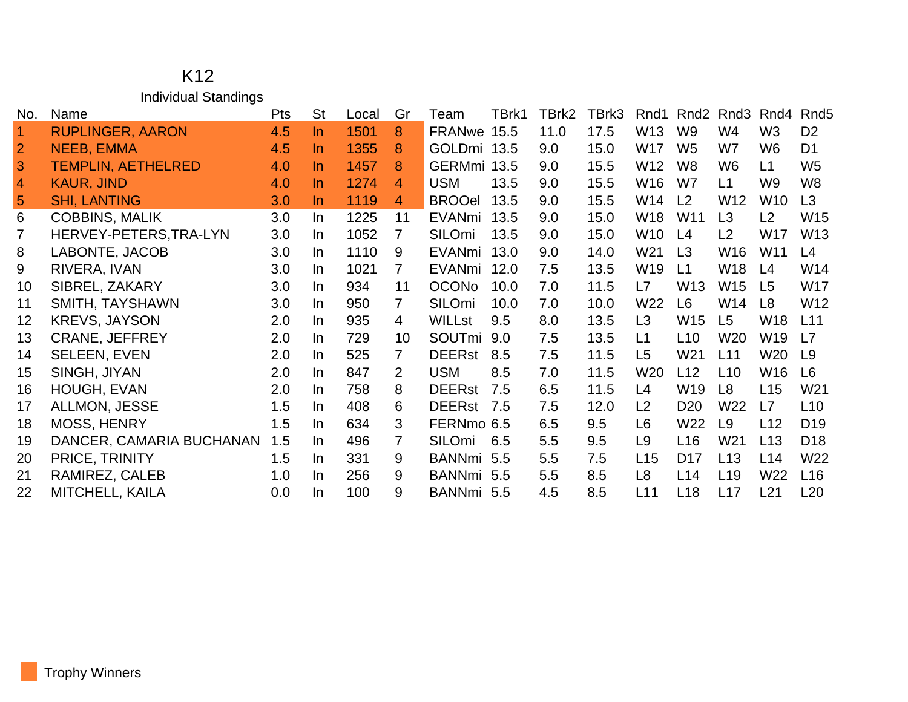## K12 Individual Standings

| No.                  | Name                      | <b>Pts</b> | <b>St</b> | Local | Gr             | Team          | TBrk1 | TBrk2 | TBrk3 | Rnd1            | Rnd <sub>2</sub> | Rnd <sub>3</sub> | Rnd4            | Rnd <sub>5</sub> |
|----------------------|---------------------------|------------|-----------|-------|----------------|---------------|-------|-------|-------|-----------------|------------------|------------------|-----------------|------------------|
| $\blacktriangleleft$ | <b>RUPLINGER, AARON</b>   | 4.5        | $\ln$     | 1501  | 8              | FRANwe 15.5   |       | 11.0  | 17.5  | W13             | W <sub>9</sub>   | W4               | W <sub>3</sub>  | D <sub>2</sub>   |
| $\overline{2}$       | NEEB, EMMA                | 4.5        | $\ln$     | 1355  | 8              | GOLDmi 13.5   |       | 9.0   | 15.0  | W17             | W <sub>5</sub>   | W7               | W <sub>6</sub>  | D <sub>1</sub>   |
| 3                    | <b>TEMPLIN, AETHELRED</b> | 4.0        | $\ln$     | 1457  | 8              | GERMmi 13.5   |       | 9.0   | 15.5  | W12             | W <sub>8</sub>   | W <sub>6</sub>   | L1              | W <sub>5</sub>   |
| $\overline{4}$       | <b>KAUR, JIND</b>         | 4.0        | $\ln$     | 1274  | 4              | <b>USM</b>    | 13.5  | 9.0   | 15.5  | W16             | W7               | L1               | W <sub>9</sub>  | W <sub>8</sub>   |
| 5                    | <b>SHI, LANTING</b>       | 3.0        | $\ln$     | 1119  | 4              | <b>BROOel</b> | 13.5  | 9.0   | 15.5  | W14             | L <sub>2</sub>   | W <sub>12</sub>  | W <sub>10</sub> | L <sub>3</sub>   |
| 6                    | <b>COBBINS, MALIK</b>     | 3.0        | In        | 1225  | 11             | EVANmi        | 13.5  | 9.0   | 15.0  | W18             | W <sub>11</sub>  | L3               | L2              | W <sub>15</sub>  |
| $\overline{7}$       | HERVEY-PETERS, TRA-LYN    | 3.0        | In        | 1052  | 7              | <b>SILOmi</b> | 13.5  | 9.0   | 15.0  | W10             | L4               | L2               | W17             | W <sub>13</sub>  |
| 8                    | LABONTE, JACOB            | 3.0        | In        | 1110  | 9              | EVANmi 13.0   |       | 9.0   | 14.0  | W <sub>21</sub> | L <sub>3</sub>   | W <sub>16</sub>  | W <sub>11</sub> | L4               |
| 9                    | RIVERA, IVAN              | 3.0        | In        | 1021  | 7              | EVANmi        | 12.0  | 7.5   | 13.5  | W19             | L1               | W18              | L4              | W14              |
| 10                   | SIBREL, ZAKARY            | 3.0        | $\ln$     | 934   | 11             | <b>OCONo</b>  | 10.0  | 7.0   | 11.5  | L7              | W <sub>13</sub>  | W <sub>15</sub>  | L <sub>5</sub>  | W17              |
| 11                   | SMITH, TAYSHAWN           | 3.0        | $\ln$     | 950   | $\overline{7}$ | <b>SILOmi</b> | 10.0  | 7.0   | 10.0  | W22             | L <sub>6</sub>   | W14              | L <sub>8</sub>  | W <sub>12</sub>  |
| 12                   | <b>KREVS, JAYSON</b>      | 2.0        | In.       | 935   | 4              | <b>WILLst</b> | 9.5   | 8.0   | 13.5  | L <sub>3</sub>  | W <sub>15</sub>  | L5               | W18             | L11              |
| 13                   | <b>CRANE, JEFFREY</b>     | 2.0        | In        | 729   | 10             | SOUTmi 9.0    |       | 7.5   | 13.5  | L1              | L10              | W <sub>20</sub>  | W <sub>19</sub> | L7               |
| 14                   | <b>SELEEN, EVEN</b>       | 2.0        | In.       | 525   | $\overline{7}$ | DEERst 8.5    |       | 7.5   | 11.5  | L <sub>5</sub>  | W21              | L11              | W20             | L9               |
| 15                   | SINGH, JIYAN              | 2.0        | In        | 847   | 2              | <b>USM</b>    | 8.5   | 7.0   | 11.5  | W <sub>20</sub> | L12              | L <sub>10</sub>  | W16             | L6               |
| 16                   | <b>HOUGH, EVAN</b>        | 2.0        | In        | 758   | 8              | DEERst 7.5    |       | 6.5   | 11.5  | L4              | W19              | L <sub>8</sub>   | L15             | W21              |
| 17                   | ALLMON, JESSE             | 1.5        | In        | 408   | 6              | DEERst 7.5    |       | 7.5   | 12.0  | L <sub>2</sub>  | D <sub>20</sub>  | W <sub>22</sub>  | L7              | L10              |
| 18                   | <b>MOSS, HENRY</b>        | 1.5        | In        | 634   | 3              | FERNmo 6.5    |       | 6.5   | 9.5   | L6              | W22              | L9               | L12             | D <sub>19</sub>  |
| 19                   | DANCER, CAMARIA BUCHANAN  | 1.5        | In        | 496   | 7              | SILOmi        | 6.5   | 5.5   | 9.5   | L9              | L <sub>16</sub>  | W <sub>21</sub>  | L <sub>13</sub> | D <sub>18</sub>  |
| 20                   | PRICE, TRINITY            | 1.5        | In        | 331   | 9              | BANNmi 5.5    |       | 5.5   | 7.5   | L15             | D <sub>17</sub>  | L <sub>13</sub>  | L14             | W22              |
| 21                   | RAMIREZ, CALEB            | 1.0        | In        | 256   | 9              | BANNmi 5.5    |       | 5.5   | 8.5   | L8              | L <sub>14</sub>  | L <sub>19</sub>  | W22             | L16              |
| 22                   | MITCHELL, KAILA           | 0.0        | In.       | 100   | 9              | BANNmi 5.5    |       | 4.5   | 8.5   | L11             | L <sub>18</sub>  | L17              | L21             | L20              |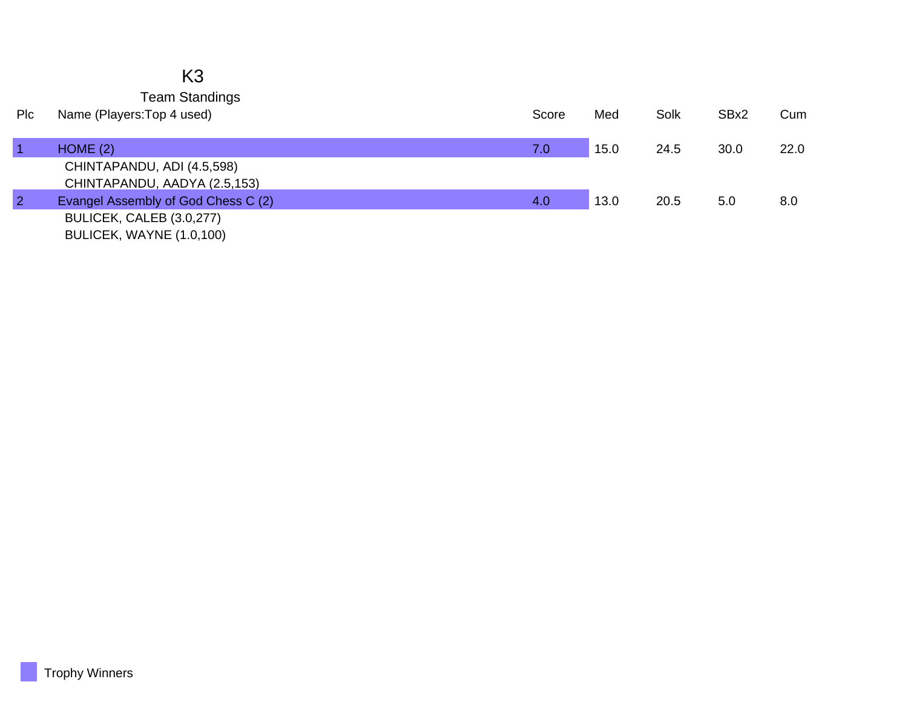### K3 Team Standings

| Plc            | Name (Players: Top 4 used)          | Score | Med  | Solk | SBx2 | Cum  |
|----------------|-------------------------------------|-------|------|------|------|------|
|                | HOME(2)                             | 7.0   | 15.0 | 24.5 | 30.0 | 22.0 |
|                | CHINTAPANDU, ADI (4.5,598)          |       |      |      |      |      |
|                | CHINTAPANDU, AADYA (2.5,153)        |       |      |      |      |      |
| $\overline{2}$ | Evangel Assembly of God Chess C (2) | 4.0   | 13.0 | 20.5 | 5.0  | 8.0  |
|                | BULICEK, CALEB (3.0,277)            |       |      |      |      |      |
|                | BULICEK, WAYNE (1.0,100)            |       |      |      |      |      |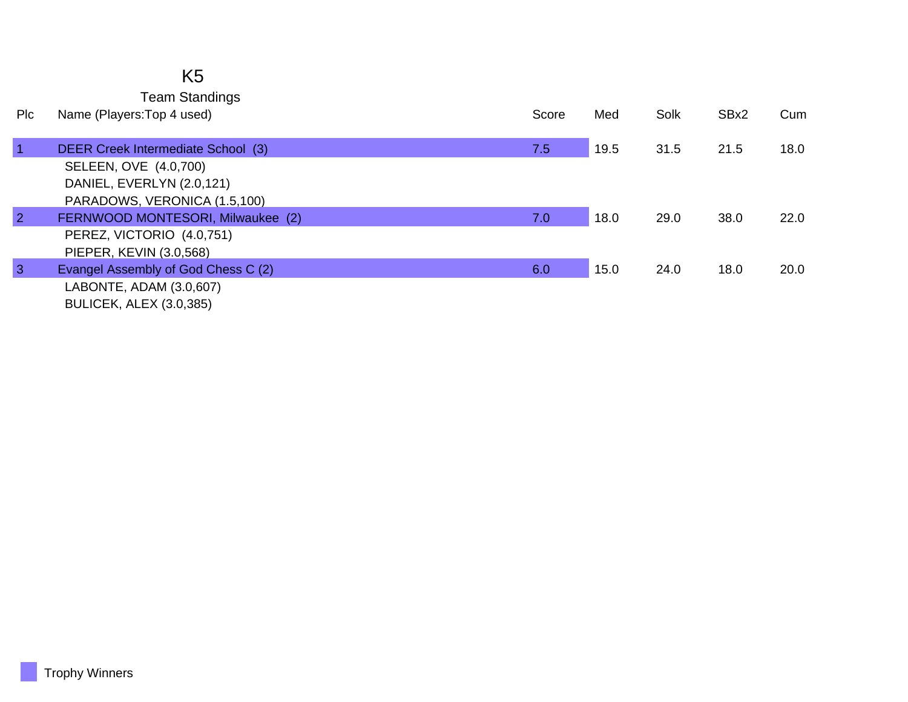### K5 Team Standings

| Plc            | Name (Players: Top 4 used)          | Score | Med  | Solk | SBx2 | Cum  |
|----------------|-------------------------------------|-------|------|------|------|------|
| $\overline{1}$ | DEER Creek Intermediate School (3)  | 7.5   | 19.5 | 31.5 | 21.5 | 18.0 |
|                | SELEEN, OVE (4.0,700)               |       |      |      |      |      |
|                | DANIEL, EVERLYN (2.0,121)           |       |      |      |      |      |
|                | PARADOWS, VERONICA (1.5,100)        |       |      |      |      |      |
| $\overline{2}$ | FERNWOOD MONTESORI, Milwaukee (2)   | 7.0   | 18.0 | 29.0 | 38.0 | 22.0 |
|                | PEREZ, VICTORIO (4.0,751)           |       |      |      |      |      |
|                | PIEPER, KEVIN (3.0,568)             |       |      |      |      |      |
| $\mathbf{3}$   | Evangel Assembly of God Chess C (2) | 6.0   | 15.0 | 24.0 | 18.0 | 20.0 |
|                | LABONTE, ADAM (3.0,607)             |       |      |      |      |      |
|                | <b>BULICEK, ALEX (3.0,385)</b>      |       |      |      |      |      |